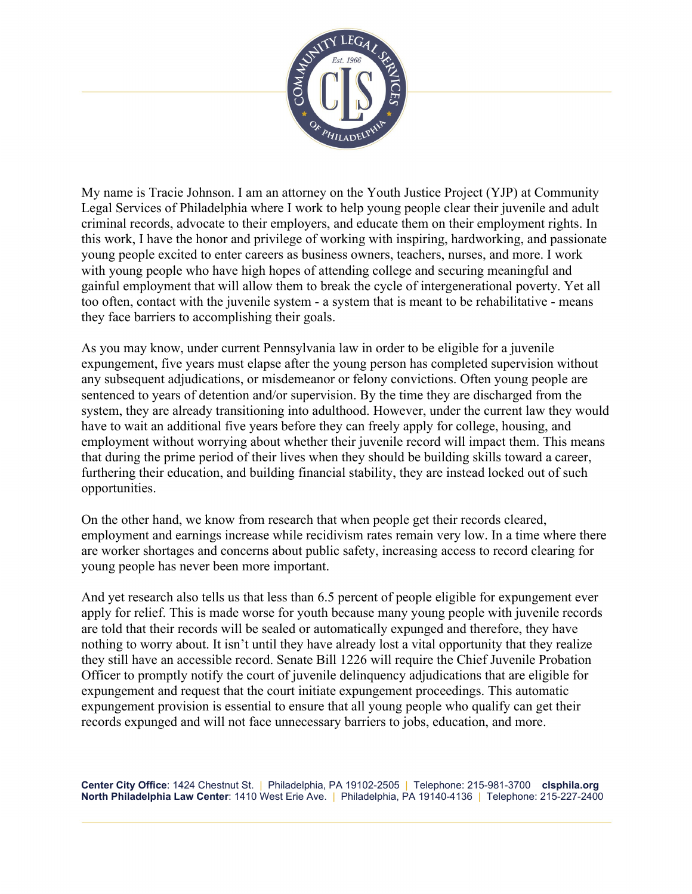

My name is Tracie Johnson. I am an attorney on the Youth Justice Project (YJP) at Community Legal Services of Philadelphia where I work to help young people clear their juvenile and adult criminal records, advocate to their employers, and educate them on their employment rights. In this work, I have the honor and privilege of working with inspiring, hardworking, and passionate young people excited to enter careers as business owners, teachers, nurses, and more. I work with young people who have high hopes of attending college and securing meaningful and gainful employment that will allow them to break the cycle of intergenerational poverty. Yet all too often, contact with the juvenile system - a system that is meant to be rehabilitative - means they face barriers to accomplishing their goals.

As you may know, under current Pennsylvania law in order to be eligible for a juvenile expungement, five years must elapse after the young person has completed supervision without any subsequent adjudications, or misdemeanor or felony convictions. Often young people are sentenced to years of detention and/or supervision. By the time they are discharged from the system, they are already transitioning into adulthood. However, under the current law they would have to wait an additional five years before they can freely apply for college, housing, and employment without worrying about whether their juvenile record will impact them. This means that during the prime period of their lives when they should be building skills toward a career, furthering their education, and building financial stability, they are instead locked out of such opportunities.

On the other hand, we know from research that when people get their records cleared, employment and earnings increase while recidivism rates remain very low. In a time where there are worker shortages and concerns about public safety, increasing access to record clearing for young people has never been more important.

And yet research also tells us that less than 6.5 percent of people eligible for expungement ever apply for relief. This is made worse for youth because many young people with juvenile records are told that their records will be sealed or automatically expunged and therefore, they have nothing to worry about. It isn't until they have already lost a vital opportunity that they realize they still have an accessible record. Senate Bill 1226 will require the Chief Juvenile Probation Officer to promptly notify the court of juvenile delinquency adjudications that are eligible for expungement and request that the court initiate expungement proceedings. This automatic expungement provision is essential to ensure that all young people who qualify can get their records expunged and will not face unnecessary barriers to jobs, education, and more.